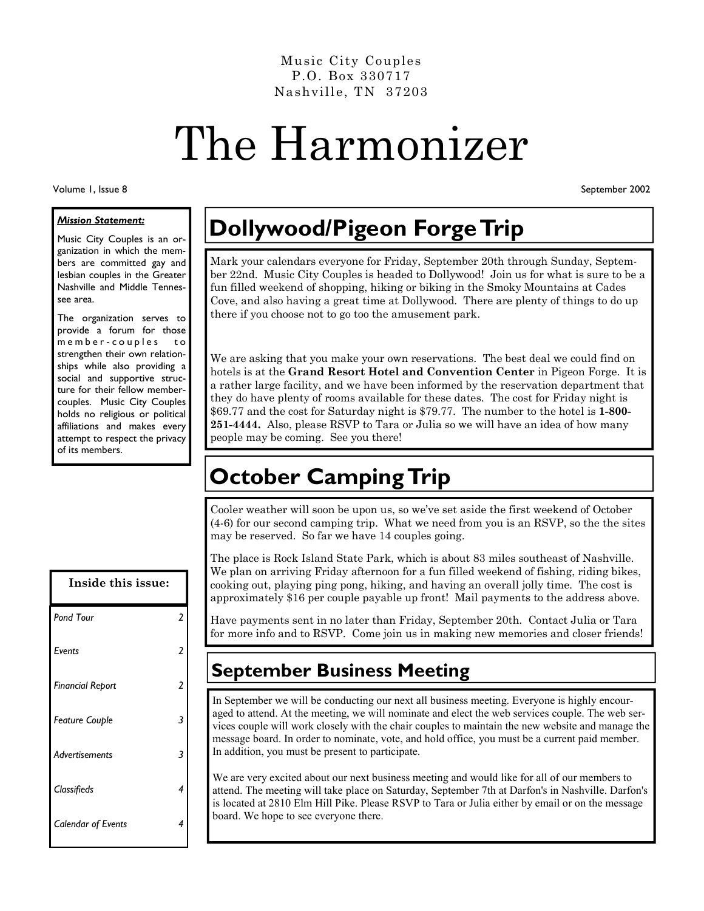Music City Couples P.O. Box 330717 Nashville, TN 37203

# The Harmonizer

Volume 1, Issue 8

September 2002

#### *Mission Statement:*

Music City Couples is an organization in which the members are committed gay and lesbian couples in the Greater Nashville and Middle Tennessee area.

The organization serves to provide a forum for those m e m b e r - c o u p l e s to strengthen their own relationships while also providing a social and supportive structure for their fellow membercouples. Music City Couples holds no religious or political affiliations and makes every attempt to respect the privacy of its members.

| Inside this issue:        |                         |
|---------------------------|-------------------------|
| <b>Pond Tour</b>          | $\overline{\mathbf{c}}$ |
| Events                    | 2                       |
| <b>Financial Report</b>   | 2                       |
| <b>Feature Couple</b>     | 3                       |
| Advertisements            | 3                       |
| Classifieds               | 4                       |
| <b>Calendar of Events</b> | 4                       |

# **Dollywood/Pigeon Forge Trip**

Mark your calendars everyone for Friday, September 20th through Sunday, September 22nd. Music City Couples is headed to Dollywood! Join us for what is sure to be a fun filled weekend of shopping, hiking or biking in the Smoky Mountains at Cades Cove, and also having a great time at Dollywood. There are plenty of things to do up there if you choose not to go too the amusement park.

We are asking that you make your own reservations. The best deal we could find on hotels is at the **Grand Resort Hotel and Convention Center** in Pigeon Forge. It is a rather large facility, and we have been informed by the reservation department that they do have plenty of rooms available for these dates. The cost for Friday night is \$69.77 and the cost for Saturday night is \$79.77. The number to the hotel is **1-800- 251-4444.** Also, please RSVP to Tara or Julia so we will have an idea of how many people may be coming. See you there!

## **October Camping Trip**

Cooler weather will soon be upon us, so we've set aside the first weekend of October (4-6) for our second camping trip. What we need from you is an RSVP, so the the sites may be reserved. So far we have 14 couples going.

The place is Rock Island State Park, which is about 83 miles southeast of Nashville. We plan on arriving Friday afternoon for a fun filled weekend of fishing, riding bikes, cooking out, playing ping pong, hiking, and having an overall jolly time. The cost is approximately \$16 per couple payable up front! Mail payments to the address above.

Have payments sent in no later than Friday, September 20th. Contact Julia or Tara for more info and to RSVP. Come join us in making new memories and closer friends!

## **September Business Meeting**

In September we will be conducting our next all business meeting. Everyone is highly encouraged to attend. At the meeting, we will nominate and elect the web services couple. The web services couple will work closely with the chair couples to maintain the new website and manage the message board. In order to nominate, vote, and hold office, you must be a current paid member. In addition, you must be present to participate.

We are very excited about our next business meeting and would like for all of our members to attend. The meeting will take place on Saturday, September 7th at Darfon's in Nashville. Darfon's is located at 2810 Elm Hill Pike. Please RSVP to Tara or Julia either by email or on the message board. We hope to see everyone there.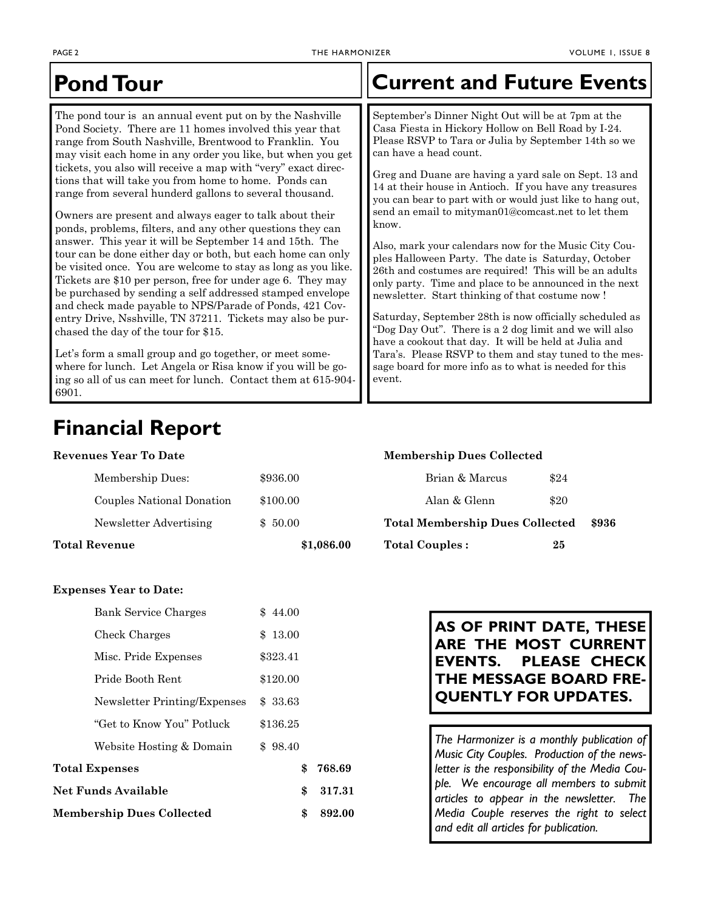| <b>Pond Tour</b>                                                                                                                                                                                                                                                                                                                                                                                                                                                                                                                                                                                                                                                                                                                                                                                                                                                                                                                                                                                                                                                                                                                                                                                                                                        | <b>Current and Future Events</b>                                                                                                                                                                                                                                                                                                                                                                                                                                                                                                                                                                                                                                                                                                                                                                                                                                                                                                                                                                                                                |
|---------------------------------------------------------------------------------------------------------------------------------------------------------------------------------------------------------------------------------------------------------------------------------------------------------------------------------------------------------------------------------------------------------------------------------------------------------------------------------------------------------------------------------------------------------------------------------------------------------------------------------------------------------------------------------------------------------------------------------------------------------------------------------------------------------------------------------------------------------------------------------------------------------------------------------------------------------------------------------------------------------------------------------------------------------------------------------------------------------------------------------------------------------------------------------------------------------------------------------------------------------|-------------------------------------------------------------------------------------------------------------------------------------------------------------------------------------------------------------------------------------------------------------------------------------------------------------------------------------------------------------------------------------------------------------------------------------------------------------------------------------------------------------------------------------------------------------------------------------------------------------------------------------------------------------------------------------------------------------------------------------------------------------------------------------------------------------------------------------------------------------------------------------------------------------------------------------------------------------------------------------------------------------------------------------------------|
| The pond tour is an annual event put on by the Nashville<br>Pond Society. There are 11 homes involved this year that<br>range from South Nashville, Brentwood to Franklin. You<br>may visit each home in any order you like, but when you get<br>tickets, you also will receive a map with "very" exact direc-<br>tions that will take you from home to home. Ponds can<br>range from several hunderd gallons to several thousand.<br>Owners are present and always eager to talk about their<br>ponds, problems, filters, and any other questions they can<br>answer. This year it will be September 14 and 15th. The<br>tour can be done either day or both, but each home can only<br>be visited once. You are welcome to stay as long as you like.<br>Tickets are \$10 per person, free for under age 6. They may<br>be purchased by sending a self addressed stamped envelope<br>and check made payable to NPS/Parade of Ponds, 421 Cov-<br>entry Drive, Nsshville, TN 37211. Tickets may also be pur-<br>chased the day of the tour for \$15.<br>Let's form a small group and go together, or meet some-<br>where for lunch. Let Angela or Risa know if you will be go-<br>ing so all of us can meet for lunch. Contact them at 615-904-<br>6901. | September's Dinner Night Out will be at 7pm at the<br>Casa Fiesta in Hickory Hollow on Bell Road by I-24.<br>Please RSVP to Tara or Julia by September 14th so we<br>can have a head count.<br>Greg and Duane are having a yard sale on Sept. 13 and<br>14 at their house in Antioch. If you have any treasures<br>you can bear to part with or would just like to hang out,<br>send an email to mityman01@comcast.net to let them<br>know.<br>Also, mark your calendars now for the Music City Cou-<br>ples Halloween Party. The date is Saturday, October<br>26th and costumes are required! This will be an adults<br>only party. Time and place to be announced in the next<br>newsletter. Start thinking of that costume now !<br>Saturday, September 28th is now officially scheduled as<br>"Dog Day Out". There is a 2 dog limit and we will also<br>have a cookout that day. It will be held at Julia and<br>Tara's. Please RSVP to them and stay tuned to the mes-<br>sage board for more info as to what is needed for this<br>event. |

## **Financial Report**

| Revenues Year To Date |                           |            | <b>Membership Dues Collected</b> |      |  |                                                 |  |
|-----------------------|---------------------------|------------|----------------------------------|------|--|-------------------------------------------------|--|
|                       | Membership Dues:          | \$936.00   | Brian & Marcus                   | \$24 |  |                                                 |  |
|                       | Couples National Donation | \$100.00   | Alan & Glenn                     | \$20 |  |                                                 |  |
|                       | Newsletter Advertising    | \$50.00    |                                  |      |  | <b>Total Membership Dues Collected</b><br>\$936 |  |
|                       | Total Revenue             | \$1,086.00 | <b>Total Couples:</b>            | 25   |  |                                                 |  |

#### **Expenses Year to Date:**

| <b>Membership Dues Collected</b> | \$       | 892.00 |
|----------------------------------|----------|--------|
| Net Funds Available              | \$       | 317.31 |
| Total Expenses                   | \$       | 768.69 |
| Website Hosting & Domain         | \$98.40  |        |
| "Get to Know You" Potluck        | \$136.25 |        |
| Newsletter Printing/Expenses     | \$33.63  |        |
| Pride Booth Rent                 | \$120.00 |        |
| Misc. Pride Expenses             | \$323.41 |        |
| Check Charges                    | \$13.00  |        |
| <b>Bank Service Charges</b>      | \$44.00  |        |

### **AS OF PRINT DATE, THESE ARE THE MOST CURRENT EVENTS. PLEASE CHECK THE MESSAGE BOARD FRE-QUENTLY FOR UPDATES.**

*The Harmonizer is a monthly publication of Music City Couples. Production of the newsletter is the responsibility of the Media Couple. We encourage all members to submit articles to appear in the newsletter. The Media Couple reserves the right to select and edit all articles for publication.*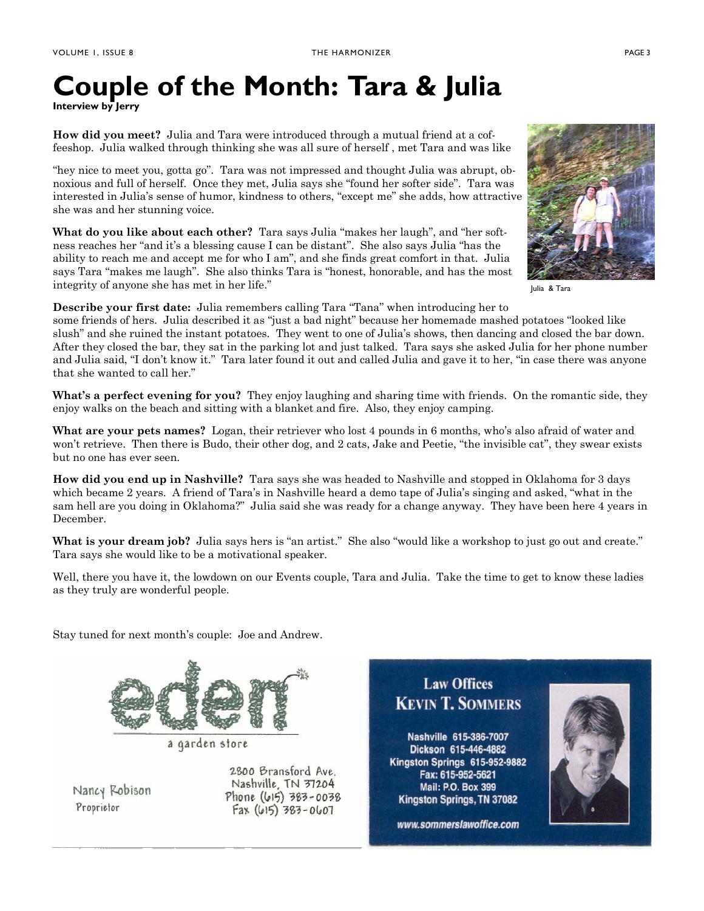# **Couple of the Month: Tara & Julia**

**Interview by Jerry** 

**How did you meet?** Julia and Tara were introduced through a mutual friend at a coffeeshop. Julia walked through thinking she was all sure of herself , met Tara and was like

"hey nice to meet you, gotta go". Tara was not impressed and thought Julia was abrupt, obnoxious and full of herself. Once they met, Julia says she "found her softer side". Tara was interested in Julia's sense of humor, kindness to others, "except me" she adds, how attractive she was and her stunning voice.

**What do you like about each other?** Tara says Julia "makes her laugh", and "her softness reaches her "and it's a blessing cause I can be distant". She also says Julia "has the ability to reach me and accept me for who I am", and she finds great comfort in that. Julia says Tara "makes me laugh". She also thinks Tara is "honest, honorable, and has the most integrity of anyone she has met in her life."



Julia & Tara

**Describe your first date:** Julia remembers calling Tara "Tana" when introducing her to

some friends of hers. Julia described it as "just a bad night" because her homemade mashed potatoes "looked like slush" and she ruined the instant potatoes. They went to one of Julia's shows, then dancing and closed the bar down. After they closed the bar, they sat in the parking lot and just talked. Tara says she asked Julia for her phone number and Julia said, "I don't know it." Tara later found it out and called Julia and gave it to her, "in case there was anyone that she wanted to call her."

**What's a perfect evening for you?** They enjoy laughing and sharing time with friends. On the romantic side, they enjoy walks on the beach and sitting with a blanket and fire. Also, they enjoy camping.

**What are your pets names?** Logan, their retriever who lost 4 pounds in 6 months, who's also afraid of water and won't retrieve. Then there is Budo, their other dog, and 2 cats, Jake and Peetie, "the invisible cat", they swear exists but no one has ever seen.

**How did you end up in Nashville?** Tara says she was headed to Nashville and stopped in Oklahoma for 3 days which became 2 years. A friend of Tara's in Nashville heard a demo tape of Julia's singing and asked, "what in the sam hell are you doing in Oklahoma?" Julia said she was ready for a change anyway. They have been here 4 years in December.

**What is your dream job?** Julia says hers is "an artist." She also "would like a workshop to just go out and create." Tara says she would like to be a motivational speaker.

Well, there you have it, the lowdown on our Events couple, Tara and Julia. Take the time to get to know these ladies as they truly are wonderful people.

Stay tuned for next month's couple: Joe and Andrew.



a garden store

Nancy Robison Proprietor

2800 Bransford Ave. Nashville, TN 37204 Phone (615) 383-0038  $Fax(615)$  383-0607

**Law Offices KEVIN T. SOMMERS** 

Nashville 615-386-7007 Dickson 615-446-4882 Kingston Springs 615-952-9882 Fax: 615-952-5621 Mail: P.O. Box 399 Kingston Springs, TN 37082

www.sommerslawoffice.com